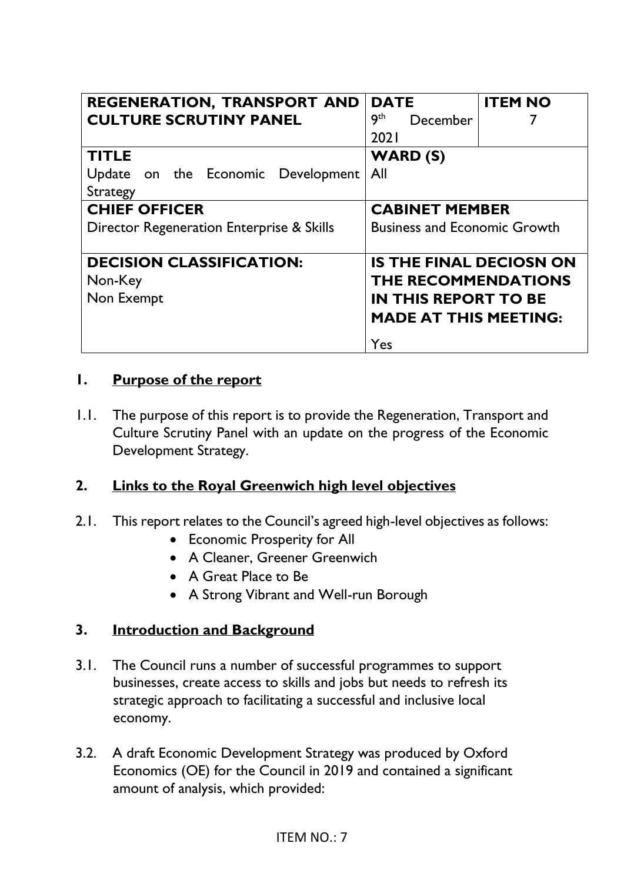| <b>REGENERATION, TRANSPORT AND</b>        | <b>DATE</b>                         | <b>ITEM NO</b> |
|-------------------------------------------|-------------------------------------|----------------|
| <b>CULTURE SCRUTINY PANEL</b>             | 9 <sup>th</sup><br>December         |                |
|                                           | 2021                                |                |
| <b>TITLE</b>                              | <b>WARD (S)</b>                     |                |
| Update on the Economic Development        | All                                 |                |
| Strategy                                  |                                     |                |
| <b>CHIEF OFFICER</b>                      | <b>CABINET MEMBER</b>               |                |
| Director Regeneration Enterprise & Skills | <b>Business and Economic Growth</b> |                |
|                                           |                                     |                |
| <b>DECISION CLASSIFICATION:</b>           | <b>IS THE FINAL DECIOSN ON</b>      |                |
| Non-Key                                   | THE RECOMMENDATIONS                 |                |
| Non Exempt                                | <b>IN THIS REPORT TO BE</b>         |                |
|                                           | <b>MADE AT THIS MEETING:</b>        |                |
|                                           | Yes                                 |                |

#### **1. Purpose of the report**

1.1. The purpose of this report is to provide the Regeneration, Transport and Culture Scrutiny Panel with an update on the progress of the Economic Development Strategy.

# **2. Links to the Royal Greenwich high level objectives**

- 2.1. This report relates to the Council's agreed high-level objectives as follows:
	- Economic Prosperity for All
	- A Cleaner, Greener Greenwich
	- A Great Place to Be
	- A Strong Vibrant and Well-run Borough

# **3. Introduction and Background**

- 3.1. The Council runs a number of successful programmes to support businesses, create access to skills and jobs but needs to refresh its strategic approach to facilitating a successful and inclusive local economy.
- 3.2. A draft Economic Development Strategy was produced by Oxford Economics (OE) for the Council in 2019 and contained a significant amount of analysis, which provided: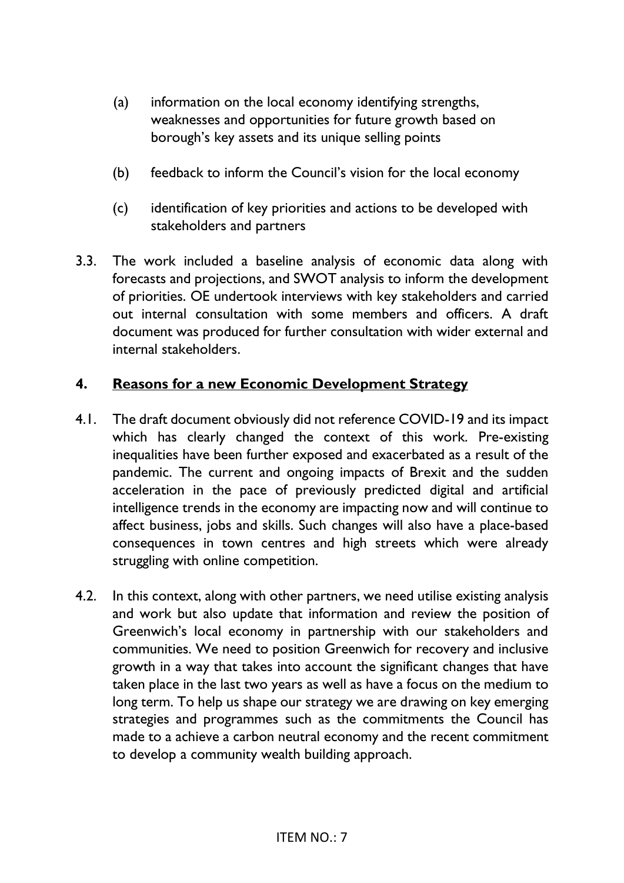- (a) information on the local economy identifying strengths, weaknesses and opportunities for future growth based on borough's key assets and its unique selling points
- (b) feedback to inform the Council's vision for the local economy
- (c) identification of key priorities and actions to be developed with stakeholders and partners
- 3.3. The work included a baseline analysis of economic data along with forecasts and projections, and SWOT analysis to inform the development of priorities. OE undertook interviews with key stakeholders and carried out internal consultation with some members and officers. A draft document was produced for further consultation with wider external and internal stakeholders.

#### **4. Reasons for a new Economic Development Strategy**

- 4.1. The draft document obviously did not reference COVID-19 and its impact which has clearly changed the context of this work. Pre-existing inequalities have been further exposed and exacerbated as a result of the pandemic. The current and ongoing impacts of Brexit and the sudden acceleration in the pace of previously predicted digital and artificial intelligence trends in the economy are impacting now and will continue to affect business, jobs and skills. Such changes will also have a place-based consequences in town centres and high streets which were already struggling with online competition.
- 4.2. In this context, along with other partners, we need utilise existing analysis and work but also update that information and review the position of Greenwich's local economy in partnership with our stakeholders and communities. We need to position Greenwich for recovery and inclusive growth in a way that takes into account the significant changes that have taken place in the last two years as well as have a focus on the medium to long term. To help us shape our strategy we are drawing on key emerging strategies and programmes such as the commitments the Council has made to a achieve a carbon neutral economy and the recent commitment to develop a community wealth building approach.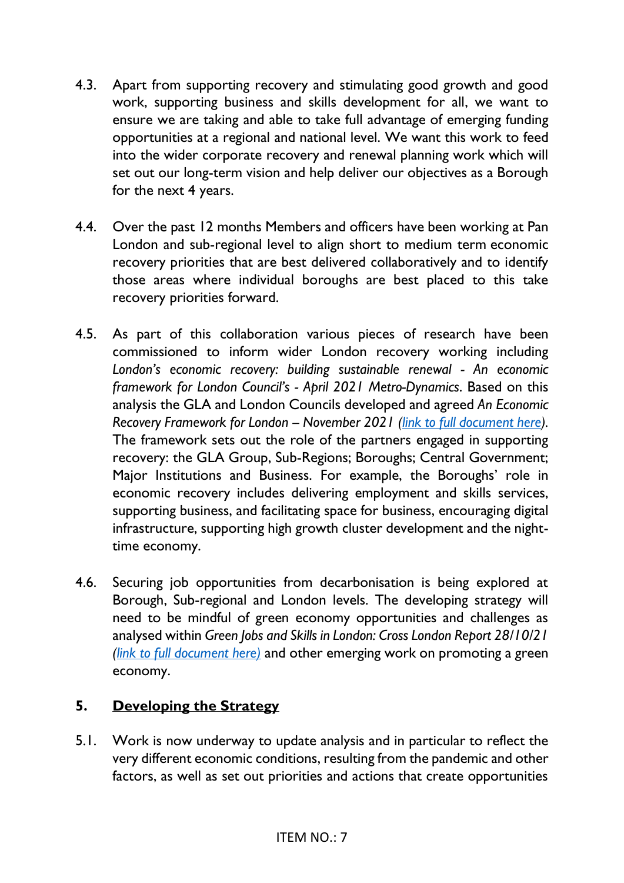- 4.3. Apart from supporting recovery and stimulating good growth and good work, supporting business and skills development for all, we want to ensure we are taking and able to take full advantage of emerging funding opportunities at a regional and national level. We want this work to feed into the wider corporate recovery and renewal planning work which will set out our long-term vision and help deliver our objectives as a Borough for the next 4 years.
- 4.4. Over the past 12 months Members and officers have been working at Pan London and sub-regional level to align short to medium term economic recovery priorities that are best delivered collaboratively and to identify those areas where individual boroughs are best placed to this take recovery priorities forward.
- 4.5. As part of this collaboration various pieces of research have been commissioned to inform wider London recovery working including London's economic recovery: building sustainable renewal - An economic *framework for London Council's - April 2021 Metro-Dynamics*. Based on this analysis the GLA and London Councils developed and agreed *An Economic Recovery Framework for London – November 2021 (link [to full document here\)](https://www.londoncouncils.gov.uk/our-key-themes/economic-development/economic-recovery-framework-london).* The framework sets out the role of the partners engaged in supporting recovery: the GLA Group, Sub-Regions; Boroughs; Central Government; Major Institutions and Business. For example, the Boroughs' role in economic recovery includes delivering employment and skills services, supporting business, and facilitating space for business, encouraging digital infrastructure, supporting high growth cluster development and the nighttime economy.
- 4.6. Securing job opportunities from decarbonisation is being explored at Borough, Sub-regional and London levels. The developing strategy will need to be mindful of green economy opportunities and challenges as analysed within *Green Jobs and Skills in London: Cross London Report 28/10/21 (link to full [document here\)](http://wpieconomics.com/site/wp-content/uploads/2021/10/Green-Jobs-and-Skills-in-London-Final-Report-1.pdf)* and other emerging work on promoting a green economy.

# **5. Developing the Strategy**

5.1. Work is now underway to update analysis and in particular to reflect the very different economic conditions, resulting from the pandemic and other factors, as well as set out priorities and actions that create opportunities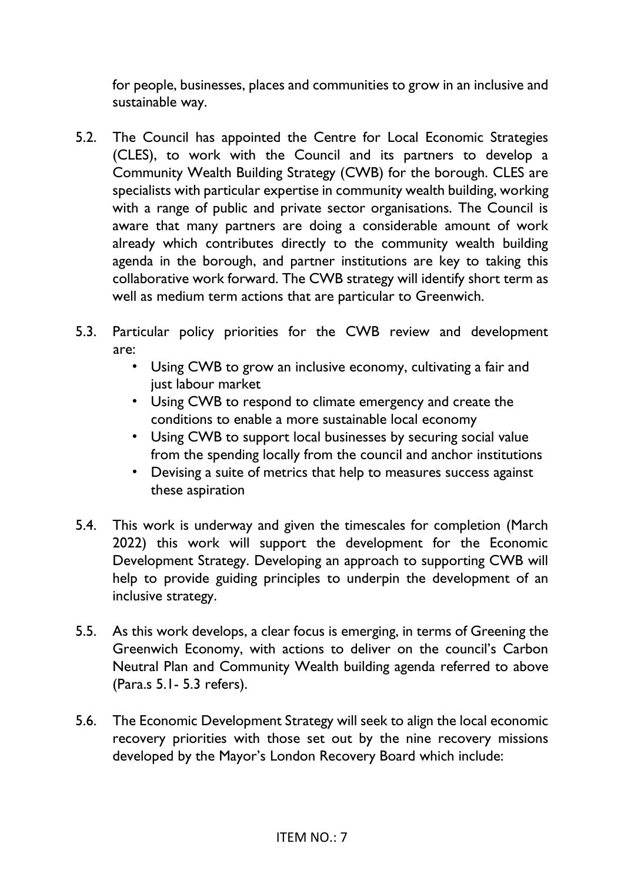for people, businesses, places and communities to grow in an inclusive and sustainable way.

- 5.2. The Council has appointed the Centre for Local Economic Strategies (CLES), to work with the Council and its partners to develop a Community Wealth Building Strategy (CWB) for the borough. CLES are specialists with particular expertise in community wealth building, working with a range of public and private sector organisations. The Council is aware that many partners are doing a considerable amount of work already which contributes directly to the community wealth building agenda in the borough, and partner institutions are key to taking this collaborative work forward. The CWB strategy will identify short term as well as medium term actions that are particular to Greenwich.
- 5.3. Particular policy priorities for the CWB review and development are:
	- Using CWB to grow an inclusive economy, cultivating a fair and just labour market
	- Using CWB to respond to climate emergency and create the conditions to enable a more sustainable local economy
	- Using CWB to support local businesses by securing social value from the spending locally from the council and anchor institutions
	- Devising a suite of metrics that help to measures success against these aspiration
- 5.4. This work is underway and given the timescales for completion (March 2022) this work will support the development for the Economic Development Strategy. Developing an approach to supporting CWB will help to provide guiding principles to underpin the development of an inclusive strategy.
- 5.5. As this work develops, a clear focus is emerging, in terms of Greening the Greenwich Economy, with actions to deliver on the council's Carbon Neutral Plan and Community Wealth building agenda referred to above (Para.s 5.1- 5.3 refers).
- 5.6. The Economic Development Strategy will seek to align the local economic recovery priorities with those set out by the nine recovery missions developed by the Mayor's London Recovery Board which include: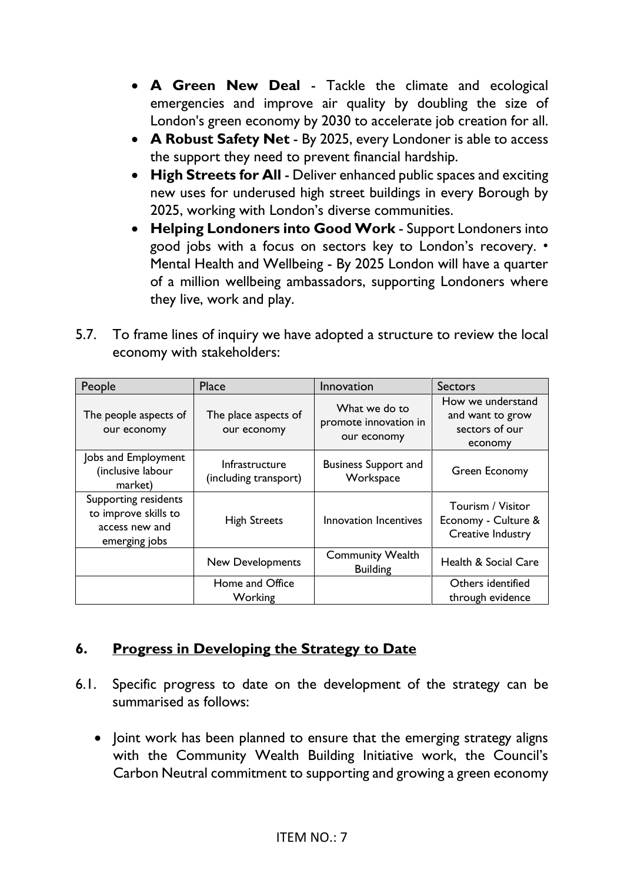- **A Green New Deal** Tackle the climate and ecological emergencies and improve air quality by doubling the size of London's green economy by 2030 to accelerate job creation for all.
- **A Robust Safety Net** By 2025, every Londoner is able to access the support they need to prevent financial hardship.
- **High Streets for All** Deliver enhanced public spaces and exciting new uses for underused high street buildings in every Borough by 2025, working with London's diverse communities.
- **Helping Londoners into Good Work** Support Londoners into good jobs with a focus on sectors key to London's recovery. • Mental Health and Wellbeing - By 2025 London will have a quarter of a million wellbeing ambassadors, supporting Londoners where they live, work and play.
- 5.7. To frame lines of inquiry we have adopted a structure to review the local economy with stakeholders:

| People                                                                          | Place                                   | Innovation                                            | <b>Sectors</b>                                                     |
|---------------------------------------------------------------------------------|-----------------------------------------|-------------------------------------------------------|--------------------------------------------------------------------|
| The people aspects of<br>our economy                                            | The place aspects of<br>our economy     | What we do to<br>promote innovation in<br>our economy | How we understand<br>and want to grow<br>sectors of our<br>economy |
| Jobs and Employment<br>(inclusive labour<br>market)                             | Infrastructure<br>(including transport) | <b>Business Support and</b><br>Workspace              | Green Economy                                                      |
| Supporting residents<br>to improve skills to<br>access new and<br>emerging jobs | <b>High Streets</b>                     | Innovation Incentives                                 | Tourism / Visitor<br>Economy - Culture &<br>Creative Industry      |
|                                                                                 | <b>New Developments</b>                 | <b>Community Wealth</b><br><b>Building</b>            | <b>Health &amp; Social Care</b>                                    |
|                                                                                 | Home and Office<br>Working              |                                                       | Others identified<br>through evidence                              |

# **6. Progress in Developing the Strategy to Date**

- 6.1. Specific progress to date on the development of the strategy can be summarised as follows:
	- Joint work has been planned to ensure that the emerging strategy aligns with the Community Wealth Building Initiative work, the Council's Carbon Neutral commitment to supporting and growing a green economy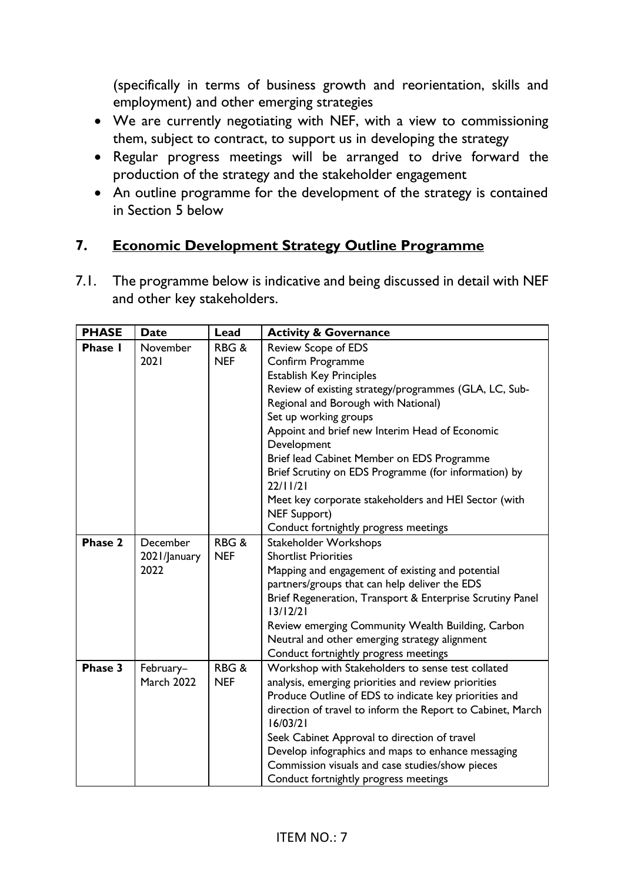(specifically in terms of business growth and reorientation, skills and employment) and other emerging strategies

- We are currently negotiating with NEF, with a view to commissioning them, subject to contract, to support us in developing the strategy
- Regular progress meetings will be arranged to drive forward the production of the strategy and the stakeholder engagement
- An outline programme for the development of the strategy is contained in Section 5 below

# **7. Economic Development Strategy Outline Programme**

7.1. The programme below is indicative and being discussed in detail with NEF and other key stakeholders.

| <b>PHASE</b>   | <b>Date</b>       | Lead            | <b>Activity &amp; Governance</b>                                      |
|----------------|-------------------|-----------------|-----------------------------------------------------------------------|
| <b>Phase I</b> | November          | RBG&            | <b>Review Scope of EDS</b>                                            |
|                | 2021              | <b>NEF</b>      | Confirm Programme                                                     |
|                |                   |                 | <b>Establish Key Principles</b>                                       |
|                |                   |                 | Review of existing strategy/programmes (GLA, LC, Sub-                 |
|                |                   |                 | Regional and Borough with National)                                   |
|                |                   |                 | Set up working groups                                                 |
|                |                   |                 | Appoint and brief new Interim Head of Economic                        |
|                |                   |                 | Development                                                           |
|                |                   |                 | Brief lead Cabinet Member on EDS Programme                            |
|                |                   |                 | Brief Scrutiny on EDS Programme (for information) by                  |
|                |                   |                 | 22/11/21                                                              |
|                |                   |                 | Meet key corporate stakeholders and HEI Sector (with                  |
|                |                   |                 | <b>NEF Support)</b>                                                   |
|                |                   |                 | Conduct fortnightly progress meetings                                 |
| Phase 2        | December          | RBG&            | <b>Stakeholder Workshops</b>                                          |
|                | 2021/January      | <b>NEF</b>      | <b>Shortlist Priorities</b>                                           |
|                | 2022              |                 | Mapping and engagement of existing and potential                      |
|                |                   |                 | partners/groups that can help deliver the EDS                         |
|                |                   |                 | Brief Regeneration, Transport & Enterprise Scrutiny Panel<br>13/12/21 |
|                |                   |                 | Review emerging Community Wealth Building, Carbon                     |
|                |                   |                 | Neutral and other emerging strategy alignment                         |
|                |                   |                 | Conduct fortnightly progress meetings                                 |
| Phase 3        | February-         | <b>RBG&amp;</b> | Workshop with Stakeholders to sense test collated                     |
|                | <b>March 2022</b> | <b>NEF</b>      | analysis, emerging priorities and review priorities                   |
|                |                   |                 | Produce Outline of EDS to indicate key priorities and                 |
|                |                   |                 | direction of travel to inform the Report to Cabinet, March            |
|                |                   |                 | 16/03/21                                                              |
|                |                   |                 | Seek Cabinet Approval to direction of travel                          |
|                |                   |                 | Develop infographics and maps to enhance messaging                    |
|                |                   |                 | Commission visuals and case studies/show pieces                       |
|                |                   |                 | Conduct fortnightly progress meetings                                 |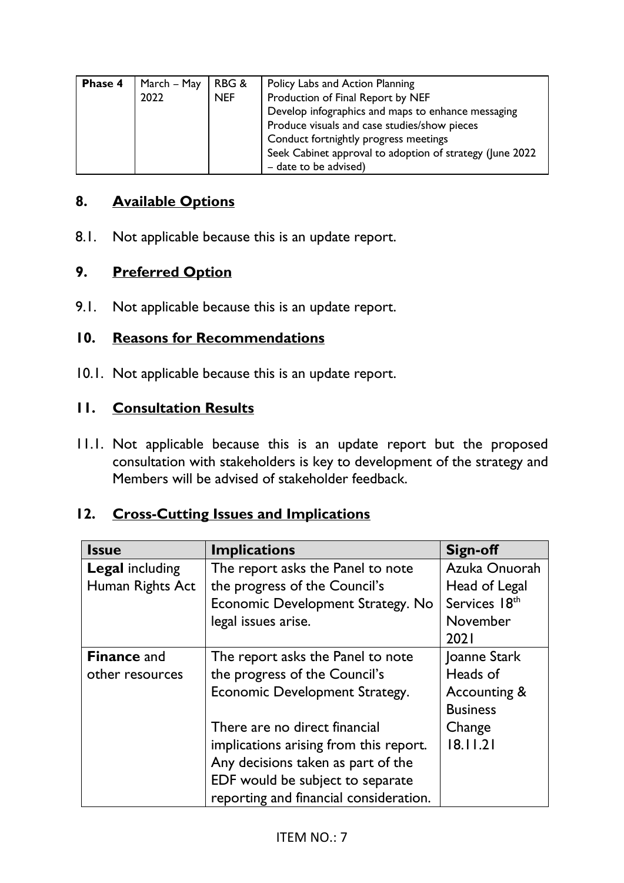| Phase 4 | March - May | RBG &      | Policy Labs and Action Planning                          |
|---------|-------------|------------|----------------------------------------------------------|
|         | 2022        | <b>NEF</b> | Production of Final Report by NEF                        |
|         |             |            | Develop infographics and maps to enhance messaging       |
|         |             |            | Produce visuals and case studies/show pieces             |
|         |             |            | Conduct fortnightly progress meetings                    |
|         |             |            | Seek Cabinet approval to adoption of strategy (June 2022 |
|         |             |            | - date to be advised)                                    |

#### **8. Available Options**

8.1. Not applicable because this is an update report.

#### **9. Preferred Option**

9.1. Not applicable because this is an update report.

#### **10. Reasons for Recommendations**

10.1. Not applicable because this is an update report.

#### **11. Consultation Results**

11.1. Not applicable because this is an update report but the proposed consultation with stakeholders is key to development of the strategy and Members will be advised of stakeholder feedback.

# **12. Cross-Cutting Issues and Implications**

| <b>Issue</b>           | <b>Implications</b>                    | <b>Sign-off</b> |
|------------------------|----------------------------------------|-----------------|
| <b>Legal including</b> | The report asks the Panel to note      | Azuka Onuorah   |
| Human Rights Act       | the progress of the Council's          | Head of Legal   |
|                        | Economic Development Strategy. No      | Services 18th   |
|                        | legal issues arise.                    | November        |
|                        |                                        | 2021            |
| <b>Finance and</b>     | The report asks the Panel to note      | Joanne Stark    |
| other resources        | the progress of the Council's          | Heads of        |
|                        | Economic Development Strategy.         | Accounting &    |
|                        |                                        | <b>Business</b> |
|                        | There are no direct financial          | Change          |
|                        | implications arising from this report. | 18.11.21        |
|                        | Any decisions taken as part of the     |                 |
|                        | EDF would be subject to separate       |                 |
|                        | reporting and financial consideration. |                 |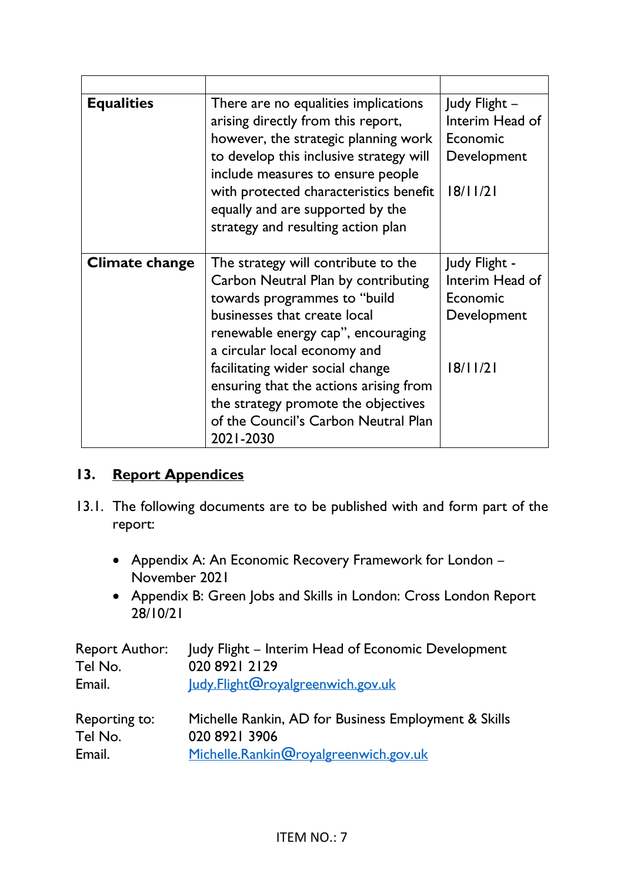| <b>Equalities</b> | There are no equalities implications<br>arising directly from this report,<br>however, the strategic planning work<br>to develop this inclusive strategy will<br>include measures to ensure people<br>with protected characteristics benefit<br>equally and are supported by the<br>strategy and resulting action plan                                                                      | Judy Flight -<br>Interim Head of<br>Economic<br>Development<br>18/11/21 |
|-------------------|---------------------------------------------------------------------------------------------------------------------------------------------------------------------------------------------------------------------------------------------------------------------------------------------------------------------------------------------------------------------------------------------|-------------------------------------------------------------------------|
| Climate change    | The strategy will contribute to the<br>Carbon Neutral Plan by contributing<br>towards programmes to "build"<br>businesses that create local<br>renewable energy cap", encouraging<br>a circular local economy and<br>facilitating wider social change<br>ensuring that the actions arising from<br>the strategy promote the objectives<br>of the Council's Carbon Neutral Plan<br>2021-2030 | Judy Flight -<br>Interim Head of<br>Economic<br>Development<br>18/11/21 |

# **13. Report Appendices**

- 13.1. The following documents are to be published with and form part of the report:
	- Appendix A: An Economic Recovery Framework for London November 2021
	- Appendix B: Green Jobs and Skills in London: Cross London Report 28/10/21

|         | Report Author: Judy Flight – Interim Head of Economic Development |
|---------|-------------------------------------------------------------------|
| Tel No. | 020 8921 2129                                                     |
| Email.  | Judy.Flight@royalgreenwich.gov.uk                                 |
|         |                                                                   |

| Reporting to: | Michelle Rankin, AD for Business Employment & Skills |
|---------------|------------------------------------------------------|
| Tel No.       | 020 8921 3906                                        |
| Email.        | Michelle.Rankin@royalgreenwich.gov.uk                |